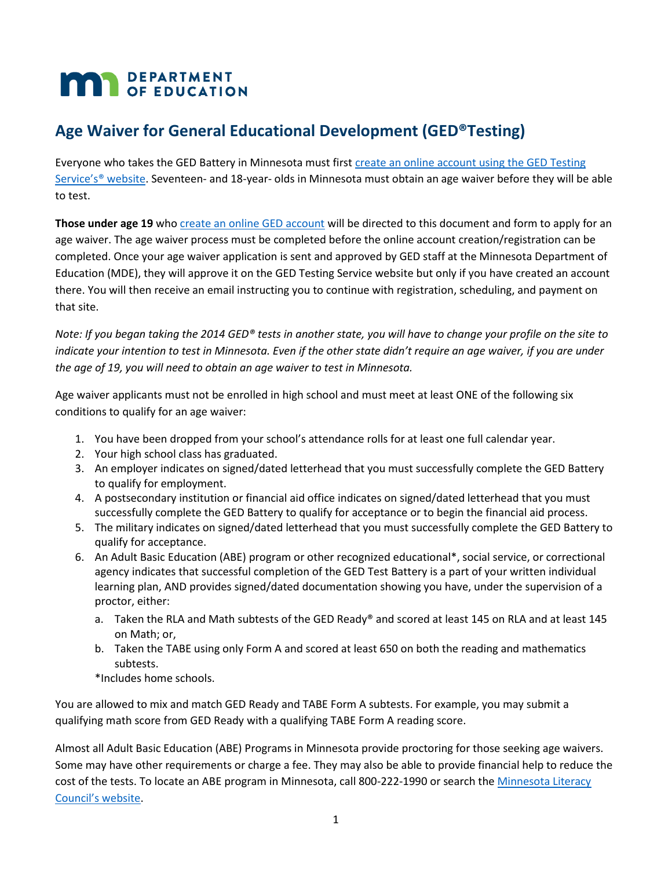# **MAN** DEPARTMENT

## **Age Waiver for General Educational Development (GED®Testing)**

Everyone who takes the GED Battery in Minnesota must first create an online account using the GED Testing [Service's® website](http://www.myged.com/). Seventeen- and 18-year- olds in Minnesota must obtain an age waiver before they will be able to test.

**Those under age 19** who [create an online GED account](http://www.myged.com/) will be directed to this document and form to apply for an age waiver. The age waiver process must be completed before the online account creation/registration can be completed. Once your age waiver application is sent and approved by GED staff at the Minnesota Department of Education (MDE), they will approve it on the GED Testing Service website but only if you have created an account there. You will then receive an email instructing you to continue with registration, scheduling, and payment on that site.

*Note: If you began taking the 2014 GED® tests in another state, you will have to change your profile on the site to indicate your intention to test in Minnesota. Even if the other state didn't require an age waiver, if you are under the age of 19, you will need to obtain an age waiver to test in Minnesota.* 

Age waiver applicants must not be enrolled in high school and must meet at least ONE of the following six conditions to qualify for an age waiver:

- 1. You have been dropped from your school's attendance rolls for at least one full calendar year.
- 2. Your high school class has graduated.
- 3. An employer indicates on signed/dated letterhead that you must successfully complete the GED Battery to qualify for employment.
- 4. A postsecondary institution or financial aid office indicates on signed/dated letterhead that you must successfully complete the GED Battery to qualify for acceptance or to begin the financial aid process.
- 5. The military indicates on signed/dated letterhead that you must successfully complete the GED Battery to qualify for acceptance.
- 6. An Adult Basic Education (ABE) program or other recognized educational\*, social service, or correctional agency indicates that successful completion of the GED Test Battery is a part of your written individual learning plan, AND provides signed/dated documentation showing you have, under the supervision of a proctor, either:
	- a. Taken the RLA and Math subtests of the GED Ready® and scored at least 145 on RLA and at least 145 on Math; or,
	- b. Taken the TABE using only Form A and scored at least 650 on both the reading and mathematics subtests.

\*Includes home schools.

You are allowed to mix and match GED Ready and TABE Form A subtests. For example, you may submit a qualifying math score from GED Ready with a qualifying TABE Form A reading score.

Almost all Adult Basic Education (ABE) Programs in Minnesota provide proctoring for those seeking age waivers. Some may have other requirements or charge a fee. They may also be able to provide financial help to reduce the cost of the tests. To locate an ABE program in Minnesota, call 800-222-1990 or search the [Minnesota Literacy](http://www.mnliteracy.org/hotline)  [Council's website](http://www.mnliteracy.org/hotline).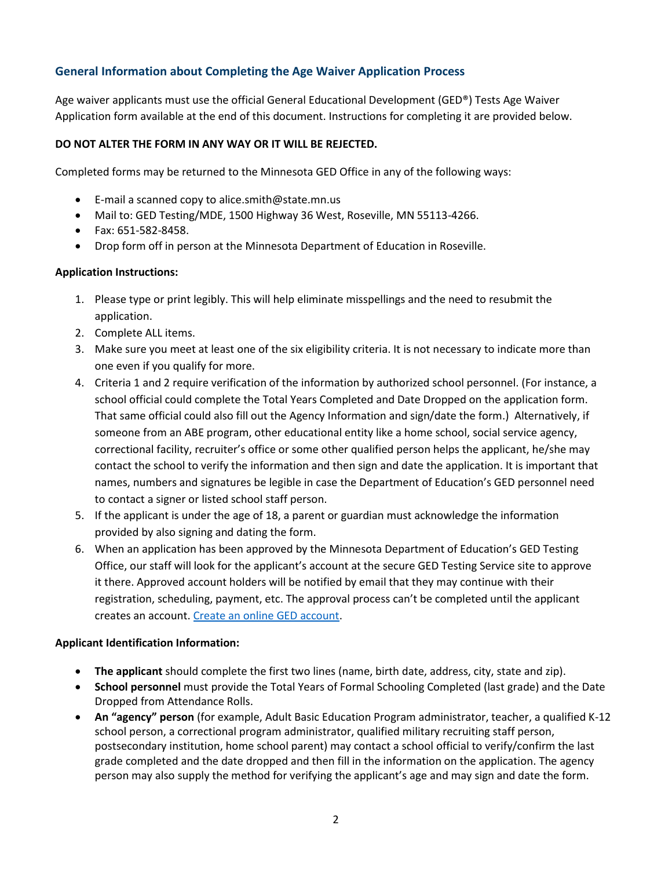### **General Information about Completing the Age Waiver Application Process**

Age waiver applicants must use the official General Educational Development (GED®) Tests Age Waiver Application form available at the end of this document. Instructions for completing it are provided below.

#### **DO NOT ALTER THE FORM IN ANY WAY OR IT WILL BE REJECTED.**

Completed forms may be returned to the Minnesota GED Office in any of the following ways:

- E-mail a scanned copy to alice.smith@state.mn.us
- Mail to: GED Testing/MDE, 1500 Highway 36 West, Roseville, MN 55113-4266.
- Fax: 651-582-8458.
- Drop form off in person at the Minnesota Department of Education in Roseville.

#### **Application Instructions:**

- 1. Please type or print legibly. This will help eliminate misspellings and the need to resubmit the application.
- 2. Complete ALL items.
- 3. Make sure you meet at least one of the six eligibility criteria. It is not necessary to indicate more than one even if you qualify for more.
- 4. Criteria 1 and 2 require verification of the information by authorized school personnel. (For instance, a school official could complete the Total Years Completed and Date Dropped on the application form. That same official could also fill out the Agency Information and sign/date the form.) Alternatively, if someone from an ABE program, other educational entity like a home school, social service agency, correctional facility, recruiter's office or some other qualified person helps the applicant, he/she may contact the school to verify the information and then sign and date the application. It is important that names, numbers and signatures be legible in case the Department of Education's GED personnel need to contact a signer or listed school staff person.
- 5. If the applicant is under the age of 18, a parent or guardian must acknowledge the information provided by also signing and dating the form.
- 6. When an application has been approved by the Minnesota Department of Education's GED Testing Office, our staff will look for the applicant's account at the secure GED Testing Service site to approve it there. Approved account holders will be notified by email that they may continue with their registration, scheduling, payment, etc. The approval process can't be completed until the applicant creates an account. [Create an online GED account.](http://www.myged.com/)

#### **Applicant Identification Information:**

- **The applicant** should complete the first two lines (name, birth date, address, city, state and zip).
- **School personnel** must provide the Total Years of Formal Schooling Completed (last grade) and the Date Dropped from Attendance Rolls.
- **An "agency" person** (for example, Adult Basic Education Program administrator, teacher, a qualified K-12 school person, a correctional program administrator, qualified military recruiting staff person, postsecondary institution, home school parent) may contact a school official to verify/confirm the last grade completed and the date dropped and then fill in the information on the application. The agency person may also supply the method for verifying the applicant's age and may sign and date the form.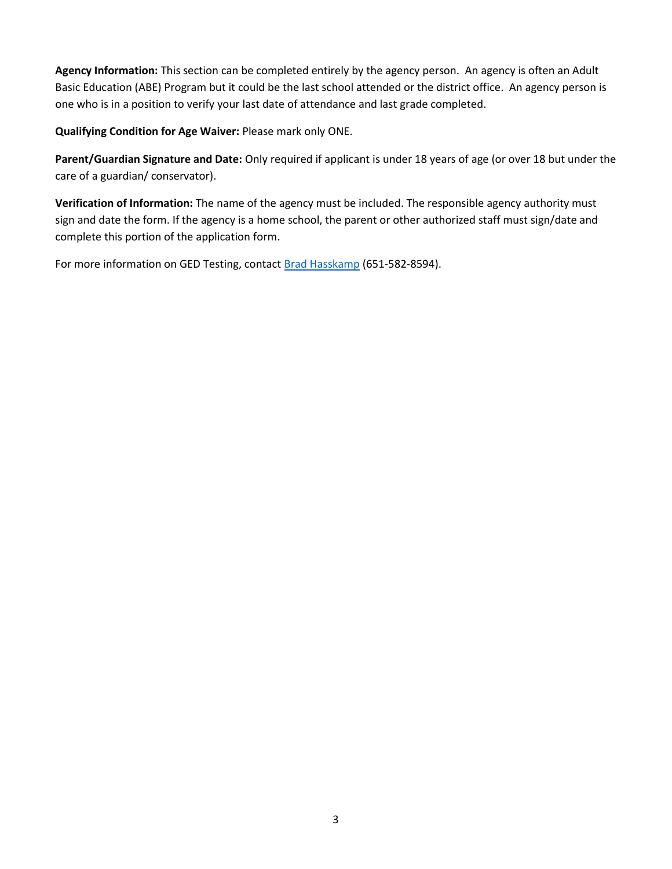**Agency Information:** This section can be completed entirely by the agency person. An agency is often an Adult Basic Education (ABE) Program but it could be the last school attended or the district office. An agency person is one who is in a position to verify your last date of attendance and last grade completed.

**Qualifying Condition for Age Waiver:** Please mark only ONE.

**Parent/Guardian Signature and Date:** Only required if applicant is under 18 years of age (or over 18 but under the care of a guardian/ conservator).

**Verification of Information:** The name of the agency must be included. The responsible agency authority must sign and date the form. If the agency is a home school, the parent or other authorized staff must sign/date and complete this portion of the application form.

For more information on GED Testing, contact [Brad Hasskamp](mailto:brad.hasskamp@state.mn.us) (651-582-8594).